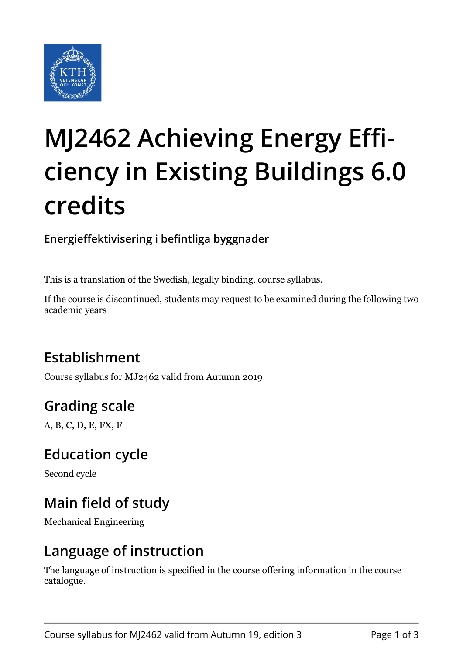

# **MJ2462 Achieving Energy Efficiency in Existing Buildings 6.0 credits**

**Energieffektivisering i befintliga byggnader**

This is a translation of the Swedish, legally binding, course syllabus.

If the course is discontinued, students may request to be examined during the following two academic years

# **Establishment**

Course syllabus for MJ2462 valid from Autumn 2019

# **Grading scale**

A, B, C, D, E, FX, F

#### **Education cycle**

Second cycle

## **Main field of study**

Mechanical Engineering

#### **Language of instruction**

The language of instruction is specified in the course offering information in the course catalogue.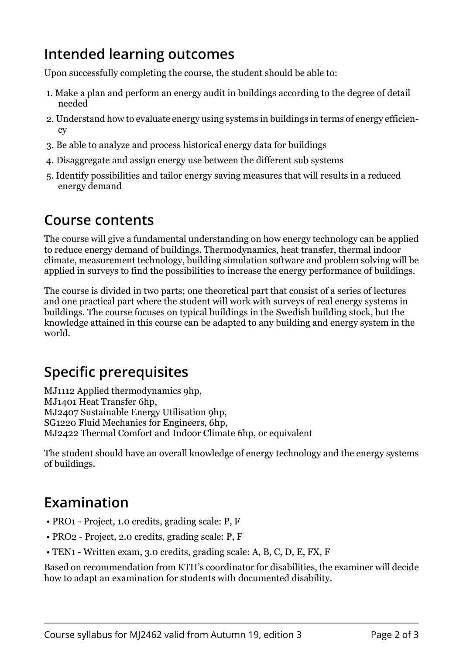## **Intended learning outcomes**

Upon successfully completing the course, the student should be able to:

- 1. Make a plan and perform an energy audit in buildings according to the degree of detail needed
- 2. Understand how to evaluate energy using systems in buildings in terms of energy efficiency
- 3. Be able to analyze and process historical energy data for buildings
- 4. Disaggregate and assign energy use between the different sub systems
- 5. Identify possibilities and tailor energy saving measures that will results in a reduced energy demand

#### **Course contents**

The course will give a fundamental understanding on how energy technology can be applied to reduce energy demand of buildings. Thermodynamics, heat transfer, thermal indoor climate, measurement technology, building simulation software and problem solving will be applied in surveys to find the possibilities to increase the energy performance of buildings.

The course is divided in two parts; one theoretical part that consist of a series of lectures and one practical part where the student will work with surveys of real energy systems in buildings. The course focuses on typical buildings in the Swedish building stock, but the knowledge attained in this course can be adapted to any building and energy system in the world.

# **Specific prerequisites**

MJ1112 Applied thermodynamics 9hp, MJ1401 Heat Transfer 6hp, MJ2407 Sustainable Energy Utilisation 9hp, SG1220 Fluid Mechanics for Engineers, 6hp, MJ2422 Thermal Comfort and Indoor Climate 6hp, or equivalent

The student should have an overall knowledge of energy technology and the energy systems of buildings.

## **Examination**

- PRO1 Project, 1.0 credits, grading scale: P, F
- PRO2 Project, 2.0 credits, grading scale: P, F
- TEN1 Written exam, 3.0 credits, grading scale: A, B, C, D, E, FX, F

Based on recommendation from KTH's coordinator for disabilities, the examiner will decide how to adapt an examination for students with documented disability.